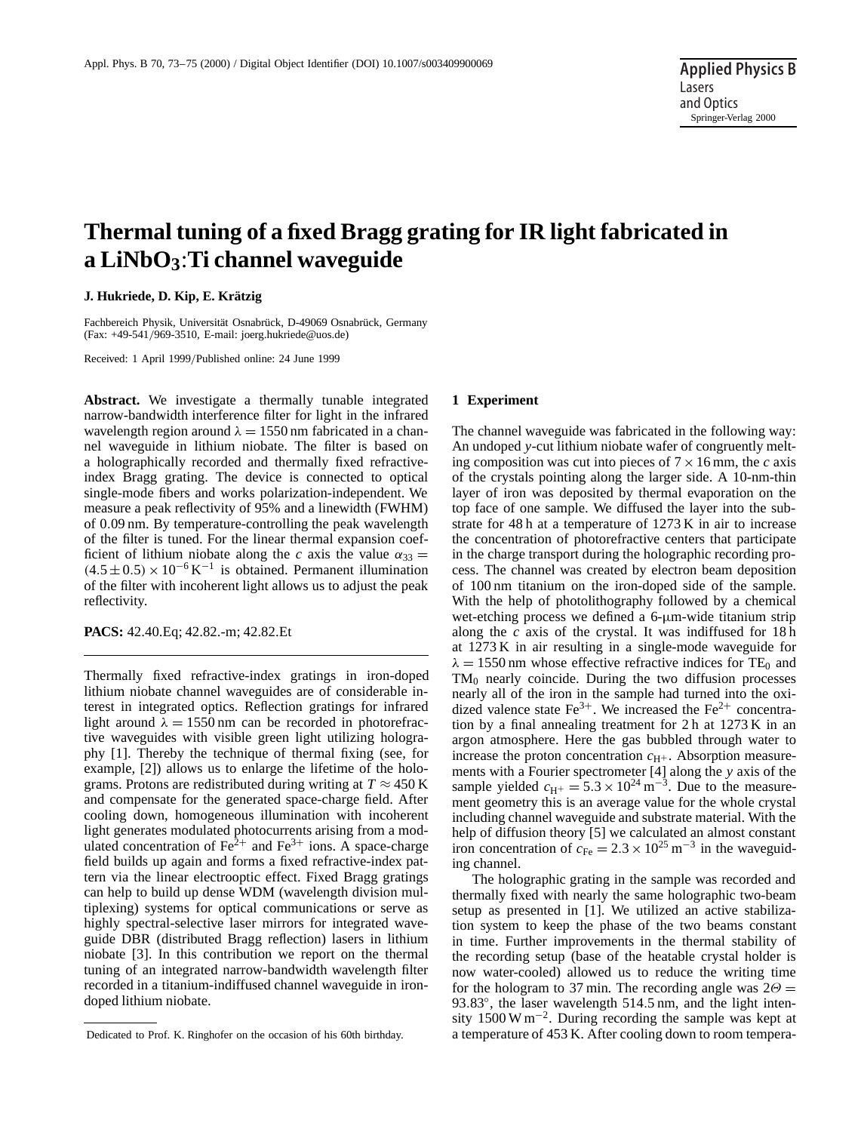# **Thermal tuning of a fixed Bragg grating for IR light fabricated in a LiNbO3**:**Ti channel waveguide**

### **J. Hukriede, D. Kip, E. Krätzig**

Fachbereich Physik, Universität Osnabrück, D-49069 Osnabrück, Germany (Fax: +49-541/969-3510, E-mail: joerg.hukriede@uos.de)

Received: 1 April 1999/Published online: 24 June 1999

Abstract. We investigate a thermally tunable integrated narrow-bandwidth interference filter for light in the infrared wavelength region around  $\lambda = 1550$  nm fabricated in a channel waveguide in lithium niobate. The filter is based on a holographically recorded and thermally fixed refractiveindex Bragg grating. The device is connected to optical single-mode fibers and works polarization-independent. We measure a peak reflectivity of 95% and a linewidth (FWHM) of 0.09 nm. By temperature-controlling the peak wavelength of the filter is tuned. For the linear thermal expansion coefficient of lithium niobate along the *c* axis the value  $\alpha_{33} =$  $(4.5 \pm 0.5) \times 10^{-6}$  K<sup>-1</sup> is obtained. Permanent illumination of the filter with incoherent light allows us to adjust the peak reflectivity.

**PACS:** 42.40.Eq; 42.82.-m; 42.82.Et

Thermally fixed refractive-index gratings in iron-doped lithium niobate channel waveguides are of considerable interest in integrated optics. Reflection gratings for infrared light around  $\lambda = 1550 \text{ nm}$  can be recorded in photorefractive waveguides with visible green light utilizing holography [1]. Thereby the technique of thermal fixing (see, for example, [2]) allows us to enlarge the lifetime of the holograms. Protons are redistributed during writing at  $T \approx 450 \text{ K}$ and compensate for the generated space-charge field. After cooling down, homogeneous illumination with incoherent light generates modulated photocurrents arising from a modulated concentration of  $\text{Fe}^{2+}$  and  $\text{Fe}^{3+}$  ions. A space-charge field builds up again and forms a fixed refractive-index pattern via the linear electrooptic effect. Fixed Bragg gratings can help to build up dense WDM (wavelength division multiplexing) systems for optical communications or serve as highly spectral-selective laser mirrors for integrated waveguide DBR (distributed Bragg reflection) lasers in lithium niobate [3]. In this contribution we report on the thermal tuning of an integrated narrow-bandwidth wavelength filter recorded in a titanium-indiffused channel waveguide in irondoped lithium niobate.

#### **1 Experiment**

The channel waveguide was fabricated in the following way: An undoped *y*-cut lithium niobate wafer of congruently melting composition was cut into pieces of  $7 \times 16$  mm, the *c* axis of the crystals pointing along the larger side. A 10-nm-thin layer of iron was deposited by thermal evaporation on the top face of one sample. We diffused the layer into the substrate for 48 h at a temperature of 1273 K in air to increase the concentration of photorefractive centers that participate in the charge transport during the holographic recording process. The channel was created by electron beam deposition of 100 nm titanium on the iron-doped side of the sample. With the help of photolithography followed by a chemical wet-etching process we defined a 6-µm-wide titanium strip along the *c* axis of the crystal. It was indiffused for 18 h at 1273 K in air resulting in a single-mode waveguide for  $\lambda = 1550$  nm whose effective refractive indices for TE<sub>0</sub> and  $TM_0$  nearly coincide. During the two diffusion processes nearly all of the iron in the sample had turned into the oxidized valence state  $Fe^{3+}$ . We increased the  $Fe^{2+}$  concentration by a final annealing treatment for 2 h at 1273 K in an argon atmosphere. Here the gas bubbled through water to increase the proton concentration  $c_{H^+}$ . Absorption measurements with a Fourier spectrometer [4] along the *y* axis of the sample yielded  $c_{\text{H}^+} = 5.3 \times 10^{24} \text{ m}^{-3}$ . Due to the measurement geometry this is an average value for the whole crystal including channel waveguide and substrate material. With the help of diffusion theory [5] we calculated an almost constant iron concentration of  $c_{Fe} = 2.3 \times 10^{25} \text{ m}^{-3}$  in the waveguiding channel.

The holographic grating in the sample was recorded and thermally fixed with nearly the same holographic two-beam setup as presented in [1]. We utilized an active stabilization system to keep the phase of the two beams constant in time. Further improvements in the thermal stability of the recording setup (base of the heatable crystal holder is now water-cooled) allowed us to reduce the writing time for the hologram to 37 min. The recording angle was  $2\Theta =$ 93.83°, the laser wavelength 514.5 nm, and the light intensity 1500 W m−2. During recording the sample was kept at a temperature of 453 K. After cooling down to room tempera-

Dedicated to Prof. K. Ringhofer on the occasion of his 60th birthday.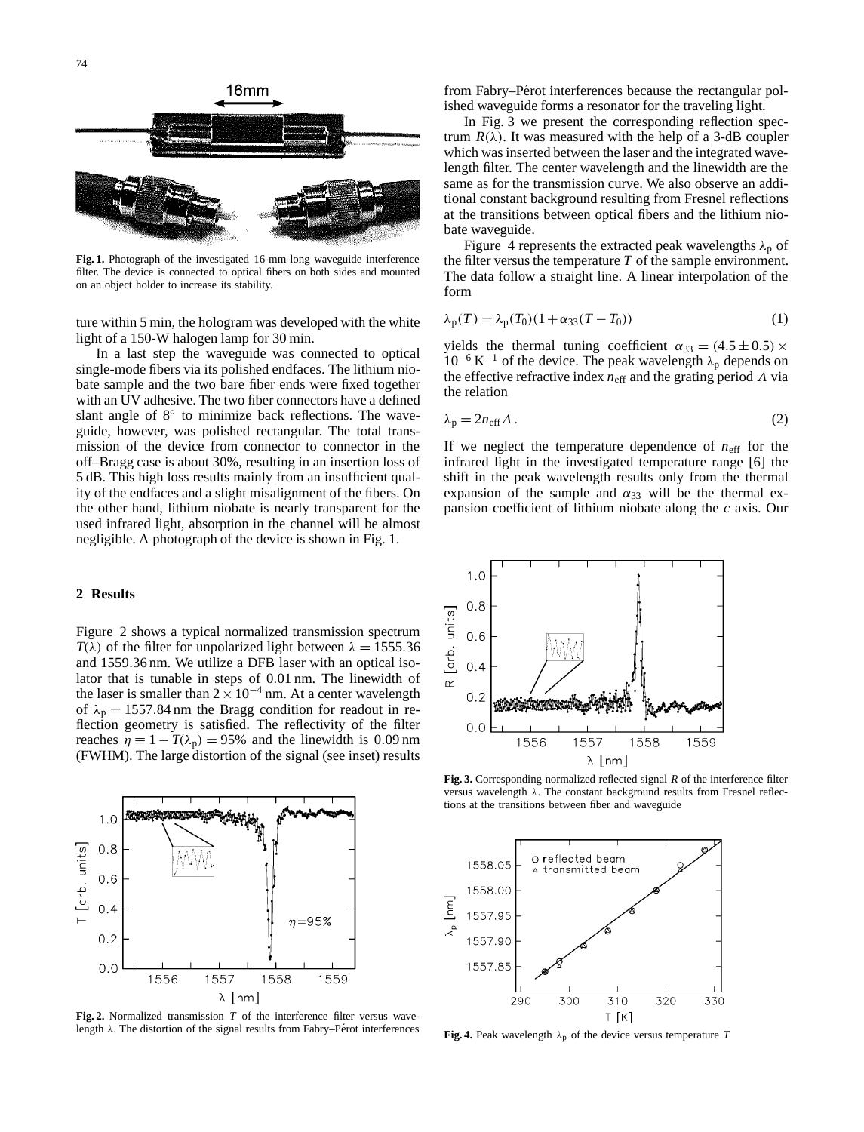

**Fig. 1.** Photograph of the investigated 16-mm-long waveguide interference filter. The device is connected to optical fibers on both sides and mounted on an object holder to increase its stability.

ture within 5 min, the hologram was developed with the white light of a 150-W halogen lamp for 30 min.

In a last step the waveguide was connected to optical single-mode fibers via its polished endfaces. The lithium niobate sample and the two bare fiber ends were fixed together with an UV adhesive. The two fiber connectors have a defined slant angle of 8<sup>°</sup> to minimize back reflections. The waveguide, however, was polished rectangular. The total transmission of the device from connector to connector in the off–Bragg case is about 30%, resulting in an insertion loss of 5 dB. This high loss results mainly from an insufficient quality of the endfaces and a slight misalignment of the fibers. On the other hand, lithium niobate is nearly transparent for the used infrared light, absorption in the channel will be almost negligible. A photograph of the device is shown in Fig. 1.

#### **2 Results**

Figure 2 shows a typical normalized transmission spectrum  $T(\lambda)$  of the filter for unpolarized light between  $\lambda = 1555.36$ and 1559.36 nm. We utilize a DFB laser with an optical isolator that is tunable in steps of 0.01 nm. The linewidth of the laser is smaller than  $2 \times 10^{-4}$  nm. At a center wavelength of  $\lambda_p = 1557.84$  nm the Bragg condition for readout in reflection geometry is satisfied. The reflectivity of the filter reaches  $\eta = 1 - T(\lambda_p) = 95\%$  and the linewidth is 0.09 nm (FWHM). The large distortion of the signal (see inset) results



**Fig. 2.** Normalized transmission *T* of the interference filter versus wavelength  $\lambda$ . The distortion of the signal results from Fabry–Pérot interferences

from Fabry–Pérot interferences because the rectangular polished waveguide forms a resonator for the traveling light.

In Fig. 3 we present the corresponding reflection spectrum  $R(\lambda)$ . It was measured with the help of a 3-dB coupler which was inserted between the laser and the integrated wavelength filter. The center wavelength and the linewidth are the same as for the transmission curve. We also observe an additional constant background resulting from Fresnel reflections at the transitions between optical fibers and the lithium niobate waveguide.

Figure 4 represents the extracted peak wavelengths  $\lambda_p$  of the filter versus the temperature *T* of the sample environment. The data follow a straight line. A linear interpolation of the form

$$
\lambda_p(T) = \lambda_p(T_0)(1 + \alpha_{33}(T - T_0))\tag{1}
$$

yields the thermal tuning coefficient  $\alpha_{33} = (4.5 \pm 0.5) \times$  $10^{-6}$  K<sup>-1</sup> of the device. The peak wavelength  $\lambda_p$  depends on the effective refractive index  $n_{\text{eff}}$  and the grating period  $\Lambda$  via the relation

$$
\lambda_{\rm p} = 2n_{\rm eff} \Lambda \,. \tag{2}
$$

If we neglect the temperature dependence of  $n_{\text{eff}}$  for the infrared light in the investigated temperature range [6] the shift in the peak wavelength results only from the thermal expansion of the sample and  $\alpha_{33}$  will be the thermal expansion coefficient of lithium niobate along the *c* axis. Our



**Fig. 3.** Corresponding normalized reflected signal *R* of the interference filter versus wavelength λ. The constant background results from Fresnel reflections at the transitions between fiber and waveguide



**Fig. 4.** Peak wavelength  $\lambda_p$  of the device versus temperature *T*